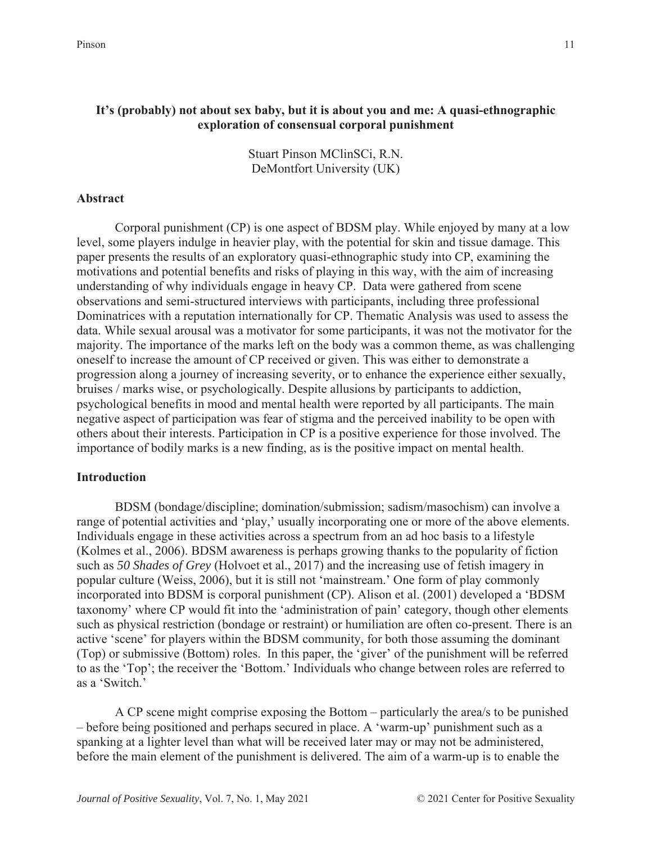# **It's (probably) not about sex baby, but it is about you and me: A quasi-ethnographic exploration of consensual corporal punishment**

Stuart Pinson MClinSCi, R.N. DeMontfort University (UK)

## **Abstract**

Corporal punishment (CP) is one aspect of BDSM play. While enjoyed by many at a low level, some players indulge in heavier play, with the potential for skin and tissue damage. This paper presents the results of an exploratory quasi-ethnographic study into CP, examining the motivations and potential benefits and risks of playing in this way, with the aim of increasing understanding of why individuals engage in heavy CP. Data were gathered from scene observations and semi-structured interviews with participants, including three professional Dominatrices with a reputation internationally for CP. Thematic Analysis was used to assess the data. While sexual arousal was a motivator for some participants, it was not the motivator for the majority. The importance of the marks left on the body was a common theme, as was challenging oneself to increase the amount of CP received or given. This was either to demonstrate a progression along a journey of increasing severity, or to enhance the experience either sexually, bruises / marks wise, or psychologically. Despite allusions by participants to addiction, psychological benefits in mood and mental health were reported by all participants. The main negative aspect of participation was fear of stigma and the perceived inability to be open with others about their interests. Participation in CP is a positive experience for those involved. The importance of bodily marks is a new finding, as is the positive impact on mental health.

# **Introduction**

BDSM (bondage/discipline; domination/submission; sadism/masochism) can involve a range of potential activities and 'play,' usually incorporating one or more of the above elements. Individuals engage in these activities across a spectrum from an ad hoc basis to a lifestyle (Kolmes et al., 2006). BDSM awareness is perhaps growing thanks to the popularity of fiction such as *50 Shades of Grey* (Holvoet et al., 2017) and the increasing use of fetish imagery in popular culture (Weiss, 2006), but it is still not 'mainstream.' One form of play commonly incorporated into BDSM is corporal punishment (CP). Alison et al. (2001) developed a 'BDSM taxonomy' where CP would fit into the 'administration of pain' category, though other elements such as physical restriction (bondage or restraint) or humiliation are often co-present. There is an active 'scene' for players within the BDSM community, for both those assuming the dominant (Top) or submissive (Bottom) roles. In this paper, the 'giver' of the punishment will be referred to as the 'Top'; the receiver the 'Bottom.' Individuals who change between roles are referred to as a 'Switch.'

A CP scene might comprise exposing the Bottom – particularly the area/s to be punished – before being positioned and perhaps secured in place. A 'warm-up' punishment such as a spanking at a lighter level than what will be received later may or may not be administered, before the main element of the punishment is delivered. The aim of a warm-up is to enable the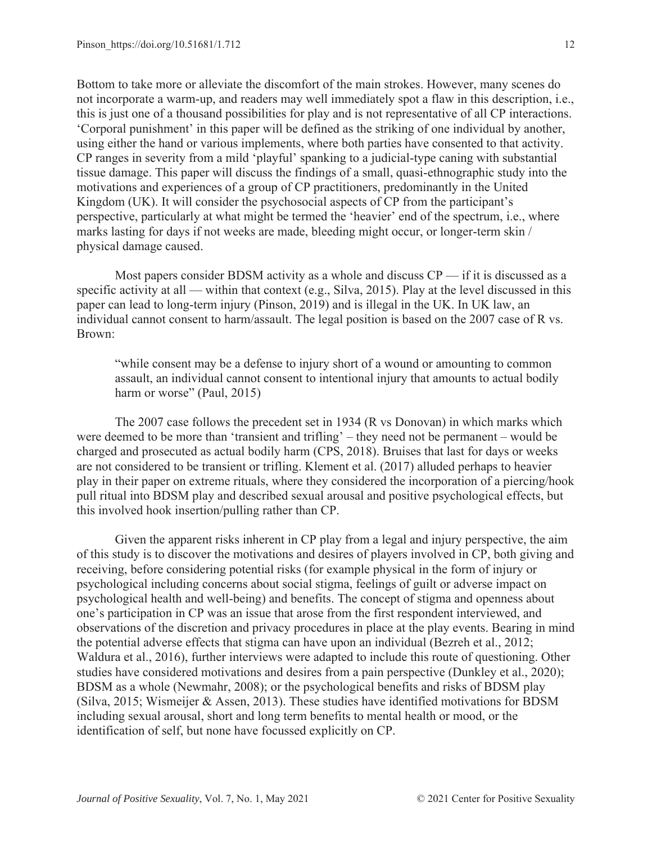Bottom to take more or alleviate the discomfort of the main strokes. However, many scenes do not incorporate a warm-up, and readers may well immediately spot a flaw in this description, i.e., this is just one of a thousand possibilities for play and is not representative of all CP interactions. 'Corporal punishment' in this paper will be defined as the striking of one individual by another, using either the hand or various implements, where both parties have consented to that activity. CP ranges in severity from a mild 'playful' spanking to a judicial-type caning with substantial tissue damage. This paper will discuss the findings of a small, quasi-ethnographic study into the motivations and experiences of a group of CP practitioners, predominantly in the United Kingdom (UK). It will consider the psychosocial aspects of CP from the participant's perspective, particularly at what might be termed the 'heavier' end of the spectrum, i.e., where marks lasting for days if not weeks are made, bleeding might occur, or longer-term skin / physical damage caused.

Most papers consider BDSM activity as a whole and discuss  $CP - if$  it is discussed as a specific activity at all — within that context (e.g., Silva, 2015). Play at the level discussed in this paper can lead to long-term injury (Pinson, 2019) and is illegal in the UK. In UK law, an individual cannot consent to harm/assault. The legal position is based on the 2007 case of R vs. Brown:

"while consent may be a defense to injury short of a wound or amounting to common assault, an individual cannot consent to intentional injury that amounts to actual bodily harm or worse" (Paul, 2015)

The 2007 case follows the precedent set in 1934 (R vs Donovan) in which marks which were deemed to be more than 'transient and trifling' – they need not be permanent – would be charged and prosecuted as actual bodily harm (CPS, 2018). Bruises that last for days or weeks are not considered to be transient or trifling. Klement et al. (2017) alluded perhaps to heavier play in their paper on extreme rituals, where they considered the incorporation of a piercing/hook pull ritual into BDSM play and described sexual arousal and positive psychological effects, but this involved hook insertion/pulling rather than CP.

Given the apparent risks inherent in CP play from a legal and injury perspective, the aim of this study is to discover the motivations and desires of players involved in CP, both giving and receiving, before considering potential risks (for example physical in the form of injury or psychological including concerns about social stigma, feelings of guilt or adverse impact on psychological health and well-being) and benefits. The concept of stigma and openness about one's participation in CP was an issue that arose from the first respondent interviewed, and observations of the discretion and privacy procedures in place at the play events. Bearing in mind the potential adverse effects that stigma can have upon an individual (Bezreh et al., 2012; Waldura et al., 2016), further interviews were adapted to include this route of questioning. Other studies have considered motivations and desires from a pain perspective (Dunkley et al., 2020); BDSM as a whole (Newmahr, 2008); or the psychological benefits and risks of BDSM play (Silva, 2015; Wismeijer & Assen, 2013). These studies have identified motivations for BDSM including sexual arousal, short and long term benefits to mental health or mood, or the identification of self, but none have focussed explicitly on CP.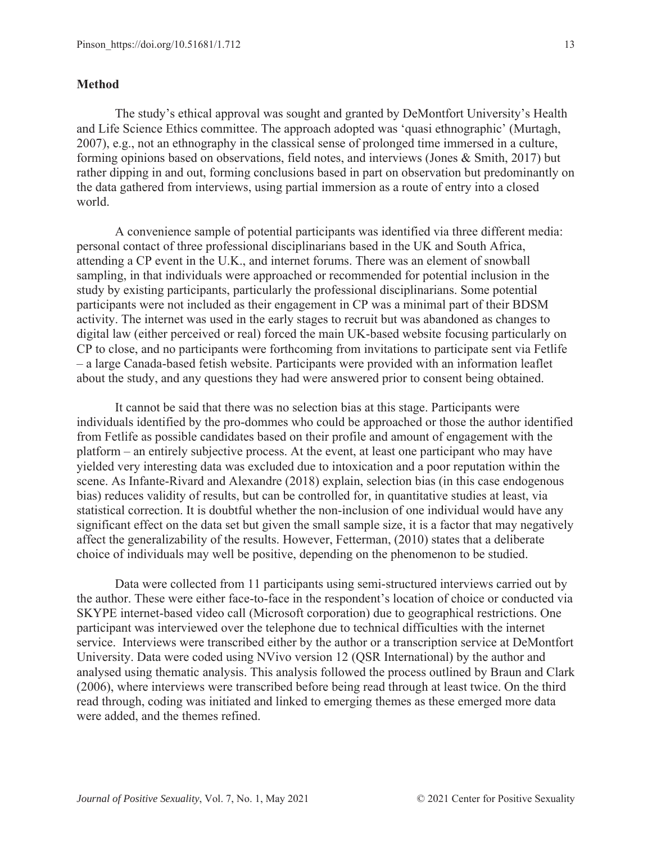### **Method**

The study's ethical approval was sought and granted by DeMontfort University's Health and Life Science Ethics committee. The approach adopted was 'quasi ethnographic' (Murtagh, 2007), e.g., not an ethnography in the classical sense of prolonged time immersed in a culture, forming opinions based on observations, field notes, and interviews (Jones & Smith, 2017) but rather dipping in and out, forming conclusions based in part on observation but predominantly on the data gathered from interviews, using partial immersion as a route of entry into a closed world.

A convenience sample of potential participants was identified via three different media: personal contact of three professional disciplinarians based in the UK and South Africa, attending a CP event in the U.K., and internet forums. There was an element of snowball sampling, in that individuals were approached or recommended for potential inclusion in the study by existing participants, particularly the professional disciplinarians. Some potential participants were not included as their engagement in CP was a minimal part of their BDSM activity. The internet was used in the early stages to recruit but was abandoned as changes to digital law (either perceived or real) forced the main UK-based website focusing particularly on CP to close, and no participants were forthcoming from invitations to participate sent via Fetlife – a large Canada-based fetish website. Participants were provided with an information leaflet about the study, and any questions they had were answered prior to consent being obtained.

It cannot be said that there was no selection bias at this stage. Participants were individuals identified by the pro-dommes who could be approached or those the author identified from Fetlife as possible candidates based on their profile and amount of engagement with the platform – an entirely subjective process. At the event, at least one participant who may have yielded very interesting data was excluded due to intoxication and a poor reputation within the scene. As Infante-Rivard and Alexandre (2018) explain, selection bias (in this case endogenous bias) reduces validity of results, but can be controlled for, in quantitative studies at least, via statistical correction. It is doubtful whether the non-inclusion of one individual would have any significant effect on the data set but given the small sample size, it is a factor that may negatively affect the generalizability of the results. However, Fetterman, (2010) states that a deliberate choice of individuals may well be positive, depending on the phenomenon to be studied.

Data were collected from 11 participants using semi-structured interviews carried out by the author. These were either face-to-face in the respondent's location of choice or conducted via SKYPE internet-based video call (Microsoft corporation) due to geographical restrictions. One participant was interviewed over the telephone due to technical difficulties with the internet service. Interviews were transcribed either by the author or a transcription service at DeMontfort University. Data were coded using NVivo version 12 (QSR International) by the author and analysed using thematic analysis. This analysis followed the process outlined by Braun and Clark (2006), where interviews were transcribed before being read through at least twice. On the third read through, coding was initiated and linked to emerging themes as these emerged more data were added, and the themes refined.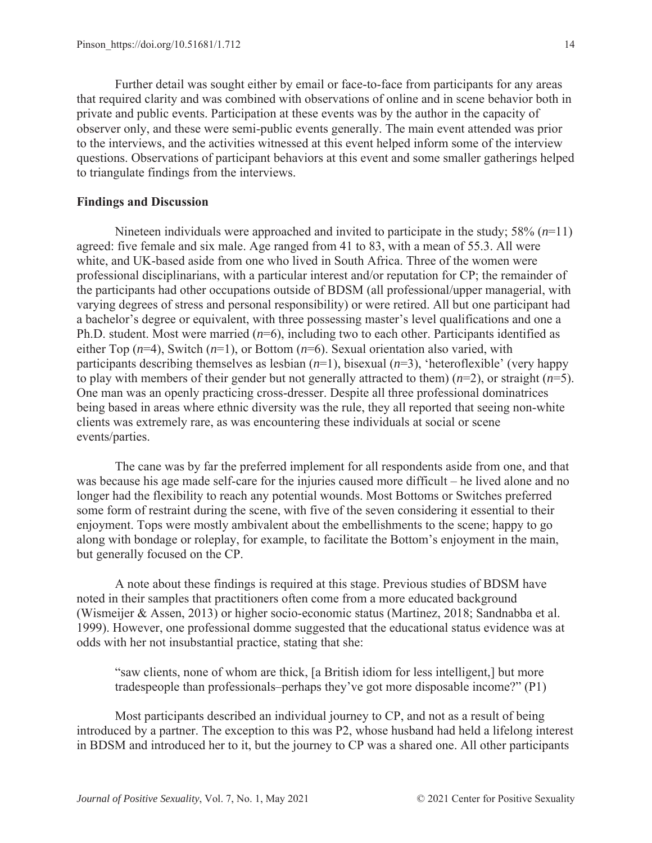Further detail was sought either by email or face-to-face from participants for any areas that required clarity and was combined with observations of online and in scene behavior both in private and public events. Participation at these events was by the author in the capacity of observer only, and these were semi-public events generally. The main event attended was prior to the interviews, and the activities witnessed at this event helped inform some of the interview questions. Observations of participant behaviors at this event and some smaller gatherings helped to triangulate findings from the interviews.

#### **Findings and Discussion**

Nineteen individuals were approached and invited to participate in the study; 58% (*n*=11) agreed: five female and six male. Age ranged from 41 to 83, with a mean of 55.3. All were white, and UK-based aside from one who lived in South Africa. Three of the women were professional disciplinarians, with a particular interest and/or reputation for CP; the remainder of the participants had other occupations outside of BDSM (all professional/upper managerial, with varying degrees of stress and personal responsibility) or were retired. All but one participant had a bachelor's degree or equivalent, with three possessing master's level qualifications and one a Ph.D. student. Most were married (*n*=6), including two to each other. Participants identified as either Top (*n*=4), Switch (*n*=1), or Bottom (*n*=6). Sexual orientation also varied, with participants describing themselves as lesbian (*n*=1), bisexual (*n*=3), 'heteroflexible' (very happy to play with members of their gender but not generally attracted to them) (*n*=2), or straight (*n*=5). One man was an openly practicing cross-dresser. Despite all three professional dominatrices being based in areas where ethnic diversity was the rule, they all reported that seeing non-white clients was extremely rare, as was encountering these individuals at social or scene events/parties.

The cane was by far the preferred implement for all respondents aside from one, and that was because his age made self-care for the injuries caused more difficult – he lived alone and no longer had the flexibility to reach any potential wounds. Most Bottoms or Switches preferred some form of restraint during the scene, with five of the seven considering it essential to their enjoyment. Tops were mostly ambivalent about the embellishments to the scene; happy to go along with bondage or roleplay, for example, to facilitate the Bottom's enjoyment in the main, but generally focused on the CP.

A note about these findings is required at this stage. Previous studies of BDSM have noted in their samples that practitioners often come from a more educated background (Wismeijer & Assen, 2013) or higher socio-economic status (Martinez, 2018; Sandnabba et al. 1999). However, one professional domme suggested that the educational status evidence was at odds with her not insubstantial practice, stating that she:

"saw clients, none of whom are thick, [a British idiom for less intelligent,] but more tradespeople than professionals–perhaps they've got more disposable income?" (P1)

Most participants described an individual journey to CP, and not as a result of being introduced by a partner. The exception to this was P2, whose husband had held a lifelong interest in BDSM and introduced her to it, but the journey to CP was a shared one. All other participants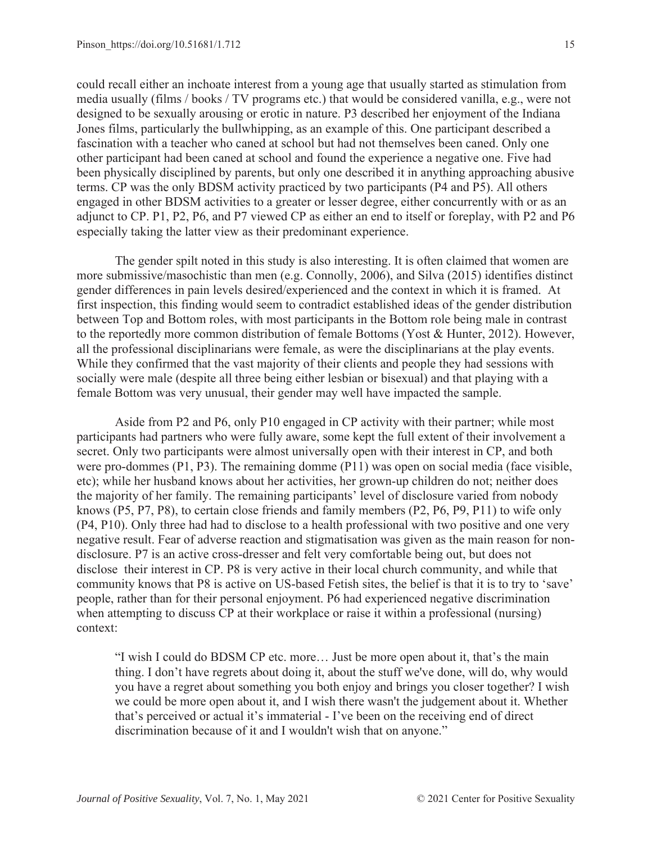could recall either an inchoate interest from a young age that usually started as stimulation from media usually (films / books / TV programs etc.) that would be considered vanilla, e.g., were not designed to be sexually arousing or erotic in nature. P3 described her enjoyment of the Indiana Jones films, particularly the bullwhipping, as an example of this. One participant described a fascination with a teacher who caned at school but had not themselves been caned. Only one other participant had been caned at school and found the experience a negative one. Five had been physically disciplined by parents, but only one described it in anything approaching abusive terms. CP was the only BDSM activity practiced by two participants (P4 and P5). All others engaged in other BDSM activities to a greater or lesser degree, either concurrently with or as an adjunct to CP. P1, P2, P6, and P7 viewed CP as either an end to itself or foreplay, with P2 and P6 especially taking the latter view as their predominant experience.

The gender spilt noted in this study is also interesting. It is often claimed that women are more submissive/masochistic than men (e.g. Connolly, 2006), and Silva (2015) identifies distinct gender differences in pain levels desired/experienced and the context in which it is framed. At first inspection, this finding would seem to contradict established ideas of the gender distribution between Top and Bottom roles, with most participants in the Bottom role being male in contrast to the reportedly more common distribution of female Bottoms (Yost & Hunter, 2012). However, all the professional disciplinarians were female, as were the disciplinarians at the play events. While they confirmed that the vast majority of their clients and people they had sessions with socially were male (despite all three being either lesbian or bisexual) and that playing with a female Bottom was very unusual, their gender may well have impacted the sample.

Aside from P2 and P6, only P10 engaged in CP activity with their partner; while most participants had partners who were fully aware, some kept the full extent of their involvement a secret. Only two participants were almost universally open with their interest in CP, and both were pro-dommes (P1, P3). The remaining domme (P11) was open on social media (face visible, etc); while her husband knows about her activities, her grown-up children do not; neither does the majority of her family. The remaining participants' level of disclosure varied from nobody knows (P5, P7, P8), to certain close friends and family members (P2, P6, P9, P11) to wife only (P4, P10). Only three had had to disclose to a health professional with two positive and one very negative result. Fear of adverse reaction and stigmatisation was given as the main reason for nondisclosure. P7 is an active cross-dresser and felt very comfortable being out, but does not disclose their interest in CP. P8 is very active in their local church community, and while that community knows that P8 is active on US-based Fetish sites, the belief is that it is to try to 'save' people, rather than for their personal enjoyment. P6 had experienced negative discrimination when attempting to discuss CP at their workplace or raise it within a professional (nursing) context:

"I wish I could do BDSM CP etc. more… Just be more open about it, that's the main thing. I don't have regrets about doing it, about the stuff we've done, will do, why would you have a regret about something you both enjoy and brings you closer together? I wish we could be more open about it, and I wish there wasn't the judgement about it. Whether that's perceived or actual it's immaterial - I've been on the receiving end of direct discrimination because of it and I wouldn't wish that on anyone."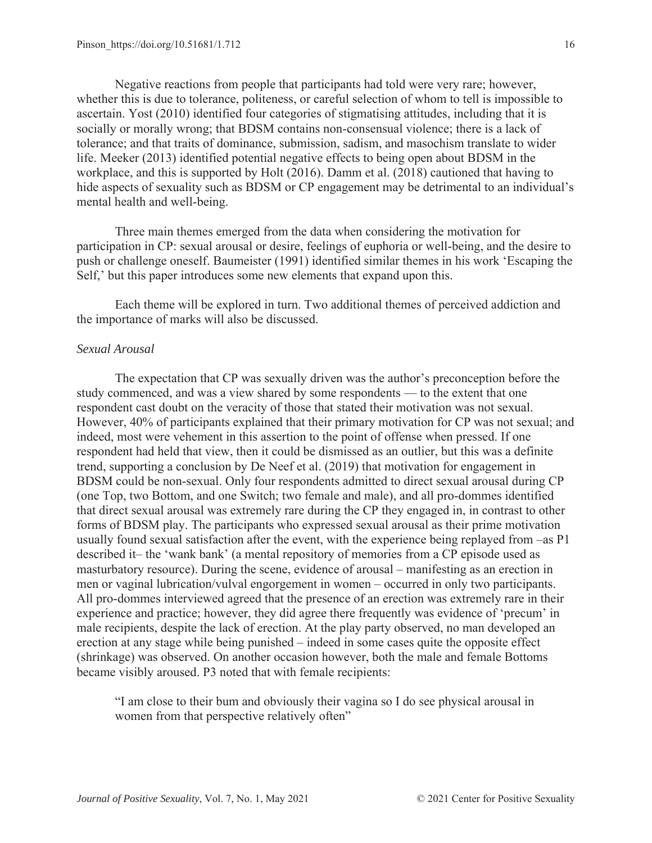Negative reactions from people that participants had told were very rare; however, whether this is due to tolerance, politeness, or careful selection of whom to tell is impossible to ascertain. Yost (2010) identified four categories of stigmatising attitudes, including that it is socially or morally wrong; that BDSM contains non-consensual violence; there is a lack of tolerance; and that traits of dominance, submission, sadism, and masochism translate to wider life. Meeker (2013) identified potential negative effects to being open about BDSM in the workplace, and this is supported by Holt (2016). Damm et al. (2018) cautioned that having to hide aspects of sexuality such as BDSM or CP engagement may be detrimental to an individual's mental health and well-being.

Three main themes emerged from the data when considering the motivation for participation in CP: sexual arousal or desire, feelings of euphoria or well-being, and the desire to push or challenge oneself. Baumeister (1991) identified similar themes in his work 'Escaping the Self,' but this paper introduces some new elements that expand upon this.

Each theme will be explored in turn. Two additional themes of perceived addiction and the importance of marks will also be discussed.

#### *Sexual Arousal*

The expectation that CP was sexually driven was the author's preconception before the study commenced, and was a view shared by some respondents — to the extent that one respondent cast doubt on the veracity of those that stated their motivation was not sexual. However, 40% of participants explained that their primary motivation for CP was not sexual; and indeed, most were vehement in this assertion to the point of offense when pressed. If one respondent had held that view, then it could be dismissed as an outlier, but this was a definite trend, supporting a conclusion by De Neef et al. (2019) that motivation for engagement in BDSM could be non-sexual. Only four respondents admitted to direct sexual arousal during CP (one Top, two Bottom, and one Switch; two female and male), and all pro-dommes identified that direct sexual arousal was extremely rare during the CP they engaged in, in contrast to other forms of BDSM play. The participants who expressed sexual arousal as their prime motivation usually found sexual satisfaction after the event, with the experience being replayed from –as P1 described it– the 'wank bank' (a mental repository of memories from a CP episode used as masturbatory resource). During the scene, evidence of arousal – manifesting as an erection in men or vaginal lubrication/vulval engorgement in women – occurred in only two participants. All pro-dommes interviewed agreed that the presence of an erection was extremely rare in their experience and practice; however, they did agree there frequently was evidence of 'precum' in male recipients, despite the lack of erection. At the play party observed, no man developed an erection at any stage while being punished – indeed in some cases quite the opposite effect (shrinkage) was observed. On another occasion however, both the male and female Bottoms became visibly aroused. P3 noted that with female recipients:

"I am close to their bum and obviously their vagina so I do see physical arousal in women from that perspective relatively often"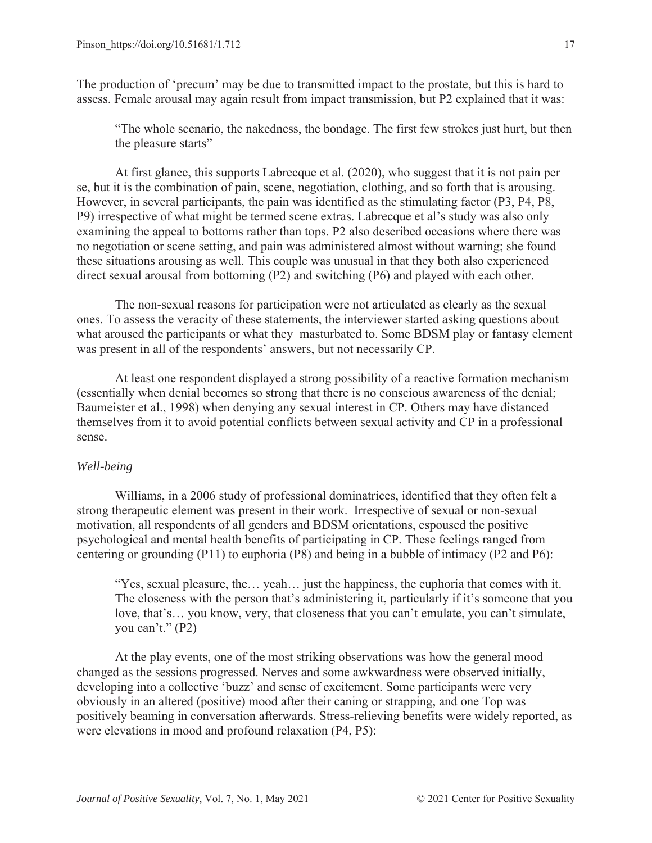The production of 'precum' may be due to transmitted impact to the prostate, but this is hard to assess. Female arousal may again result from impact transmission, but P2 explained that it was:

"The whole scenario, the nakedness, the bondage. The first few strokes just hurt, but then the pleasure starts"

At first glance, this supports Labrecque et al. (2020), who suggest that it is not pain per se, but it is the combination of pain, scene, negotiation, clothing, and so forth that is arousing. However, in several participants, the pain was identified as the stimulating factor (P3, P4, P8, P9) irrespective of what might be termed scene extras. Labrecque et al's study was also only examining the appeal to bottoms rather than tops. P2 also described occasions where there was no negotiation or scene setting, and pain was administered almost without warning; she found these situations arousing as well. This couple was unusual in that they both also experienced direct sexual arousal from bottoming (P2) and switching (P6) and played with each other.

The non-sexual reasons for participation were not articulated as clearly as the sexual ones. To assess the veracity of these statements, the interviewer started asking questions about what aroused the participants or what they masturbated to. Some BDSM play or fantasy element was present in all of the respondents' answers, but not necessarily CP.

At least one respondent displayed a strong possibility of a reactive formation mechanism (essentially when denial becomes so strong that there is no conscious awareness of the denial; Baumeister et al., 1998) when denying any sexual interest in CP. Others may have distanced themselves from it to avoid potential conflicts between sexual activity and CP in a professional sense.

## *Well-being*

Williams, in a 2006 study of professional dominatrices, identified that they often felt a strong therapeutic element was present in their work. Irrespective of sexual or non-sexual motivation, all respondents of all genders and BDSM orientations, espoused the positive psychological and mental health benefits of participating in CP. These feelings ranged from centering or grounding (P11) to euphoria (P8) and being in a bubble of intimacy (P2 and P6):

"Yes, sexual pleasure, the… yeah… just the happiness, the euphoria that comes with it. The closeness with the person that's administering it, particularly if it's someone that you love, that's… you know, very, that closeness that you can't emulate, you can't simulate, you can't." (P2)

At the play events, one of the most striking observations was how the general mood changed as the sessions progressed. Nerves and some awkwardness were observed initially, developing into a collective 'buzz' and sense of excitement. Some participants were very obviously in an altered (positive) mood after their caning or strapping, and one Top was positively beaming in conversation afterwards. Stress-relieving benefits were widely reported, as were elevations in mood and profound relaxation (P4, P5):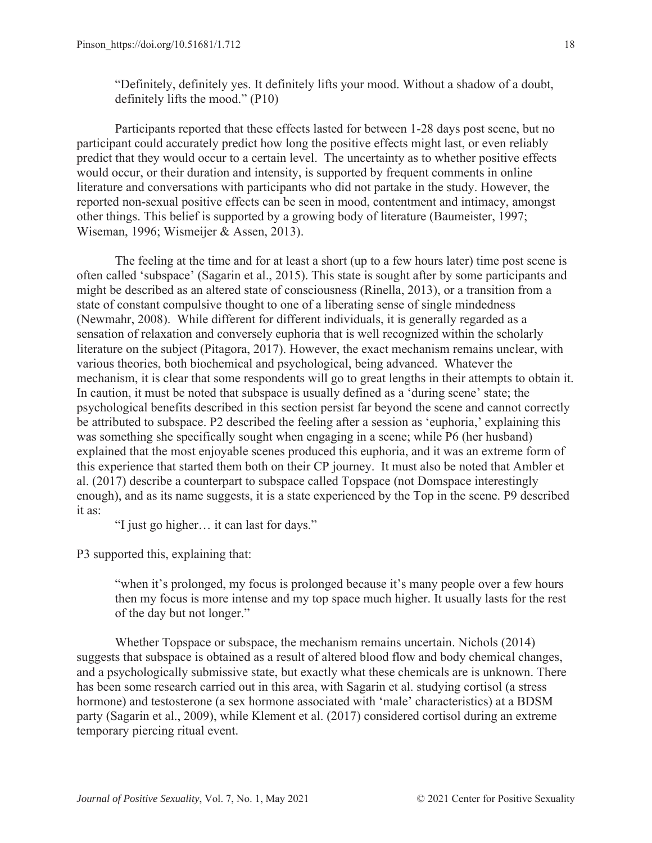"Definitely, definitely yes. It definitely lifts your mood. Without a shadow of a doubt, definitely lifts the mood." (P10)

Participants reported that these effects lasted for between 1-28 days post scene, but no participant could accurately predict how long the positive effects might last, or even reliably predict that they would occur to a certain level. The uncertainty as to whether positive effects would occur, or their duration and intensity, is supported by frequent comments in online literature and conversations with participants who did not partake in the study. However, the reported non-sexual positive effects can be seen in mood, contentment and intimacy, amongst other things. This belief is supported by a growing body of literature (Baumeister, 1997; Wiseman, 1996; Wismeijer & Assen, 2013).

The feeling at the time and for at least a short (up to a few hours later) time post scene is often called 'subspace' (Sagarin et al., 2015). This state is sought after by some participants and might be described as an altered state of consciousness (Rinella, 2013), or a transition from a state of constant compulsive thought to one of a liberating sense of single mindedness (Newmahr, 2008). While different for different individuals, it is generally regarded as a sensation of relaxation and conversely euphoria that is well recognized within the scholarly literature on the subject (Pitagora, 2017). However, the exact mechanism remains unclear, with various theories, both biochemical and psychological, being advanced. Whatever the mechanism, it is clear that some respondents will go to great lengths in their attempts to obtain it. In caution, it must be noted that subspace is usually defined as a 'during scene' state; the psychological benefits described in this section persist far beyond the scene and cannot correctly be attributed to subspace. P2 described the feeling after a session as 'euphoria,' explaining this was something she specifically sought when engaging in a scene; while P6 (her husband) explained that the most enjoyable scenes produced this euphoria, and it was an extreme form of this experience that started them both on their CP journey. It must also be noted that Ambler et al. (2017) describe a counterpart to subspace called Topspace (not Domspace interestingly enough), and as its name suggests, it is a state experienced by the Top in the scene. P9 described it as:

"I just go higher… it can last for days."

P3 supported this, explaining that:

"when it's prolonged, my focus is prolonged because it's many people over a few hours then my focus is more intense and my top space much higher. It usually lasts for the rest of the day but not longer."

Whether Topspace or subspace, the mechanism remains uncertain. Nichols (2014) suggests that subspace is obtained as a result of altered blood flow and body chemical changes, and a psychologically submissive state, but exactly what these chemicals are is unknown. There has been some research carried out in this area, with Sagarin et al. studying cortisol (a stress hormone) and testosterone (a sex hormone associated with 'male' characteristics) at a BDSM party (Sagarin et al., 2009), while Klement et al. (2017) considered cortisol during an extreme temporary piercing ritual event.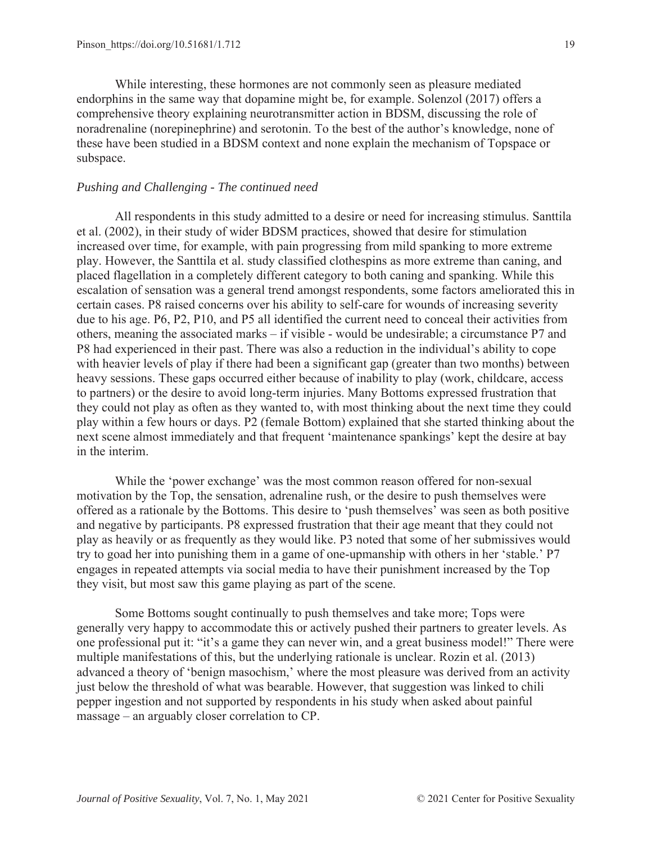While interesting, these hormones are not commonly seen as pleasure mediated endorphins in the same way that dopamine might be, for example. Solenzol (2017) offers a comprehensive theory explaining neurotransmitter action in BDSM, discussing the role of noradrenaline (norepinephrine) and serotonin. To the best of the author's knowledge, none of these have been studied in a BDSM context and none explain the mechanism of Topspace or subspace.

#### *Pushing and Challenging - The continued need*

All respondents in this study admitted to a desire or need for increasing stimulus. Santtila et al. (2002), in their study of wider BDSM practices, showed that desire for stimulation increased over time, for example, with pain progressing from mild spanking to more extreme play. However, the Santtila et al. study classified clothespins as more extreme than caning, and placed flagellation in a completely different category to both caning and spanking. While this escalation of sensation was a general trend amongst respondents, some factors ameliorated this in certain cases. P8 raised concerns over his ability to self-care for wounds of increasing severity due to his age. P6, P2, P10, and P5 all identified the current need to conceal their activities from others, meaning the associated marks – if visible - would be undesirable; a circumstance P7 and P8 had experienced in their past. There was also a reduction in the individual's ability to cope with heavier levels of play if there had been a significant gap (greater than two months) between heavy sessions. These gaps occurred either because of inability to play (work, childcare, access to partners) or the desire to avoid long-term injuries. Many Bottoms expressed frustration that they could not play as often as they wanted to, with most thinking about the next time they could play within a few hours or days. P2 (female Bottom) explained that she started thinking about the next scene almost immediately and that frequent 'maintenance spankings' kept the desire at bay in the interim.

While the 'power exchange' was the most common reason offered for non-sexual motivation by the Top, the sensation, adrenaline rush, or the desire to push themselves were offered as a rationale by the Bottoms. This desire to 'push themselves' was seen as both positive and negative by participants. P8 expressed frustration that their age meant that they could not play as heavily or as frequently as they would like. P3 noted that some of her submissives would try to goad her into punishing them in a game of one-upmanship with others in her 'stable.' P7 engages in repeated attempts via social media to have their punishment increased by the Top they visit, but most saw this game playing as part of the scene.

Some Bottoms sought continually to push themselves and take more; Tops were generally very happy to accommodate this or actively pushed their partners to greater levels. As one professional put it: "it's a game they can never win, and a great business model!" There were multiple manifestations of this, but the underlying rationale is unclear. Rozin et al. (2013) advanced a theory of 'benign masochism,' where the most pleasure was derived from an activity just below the threshold of what was bearable. However, that suggestion was linked to chili pepper ingestion and not supported by respondents in his study when asked about painful massage – an arguably closer correlation to CP.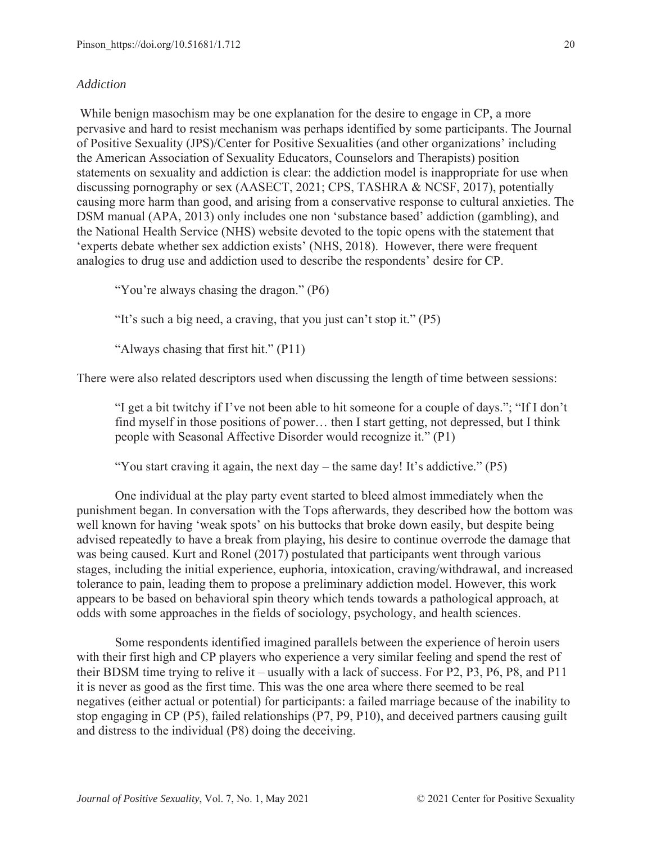### *Addiction*

While benign masochism may be one explanation for the desire to engage in CP, a more pervasive and hard to resist mechanism was perhaps identified by some participants. The Journal of Positive Sexuality (JPS)/Center for Positive Sexualities (and other organizations' including the American Association of Sexuality Educators, Counselors and Therapists) position statements on sexuality and addiction is clear: the addiction model is inappropriate for use when discussing pornography or sex (AASECT, 2021; CPS, TASHRA & NCSF, 2017), potentially causing more harm than good, and arising from a conservative response to cultural anxieties. The DSM manual (APA, 2013) only includes one non 'substance based' addiction (gambling), and the National Health Service (NHS) website devoted to the topic opens with the statement that 'experts debate whether sex addiction exists' (NHS, 2018). However, there were frequent analogies to drug use and addiction used to describe the respondents' desire for CP.

"You're always chasing the dragon." (P6)

"It's such a big need, a craving, that you just can't stop it." (P5)

"Always chasing that first hit." (P11)

There were also related descriptors used when discussing the length of time between sessions:

"I get a bit twitchy if I've not been able to hit someone for a couple of days."; "If I don't find myself in those positions of power… then I start getting, not depressed, but I think people with Seasonal Affective Disorder would recognize it." (P1)

"You start craving it again, the next day – the same day! It's addictive."  $(P5)$ 

One individual at the play party event started to bleed almost immediately when the punishment began. In conversation with the Tops afterwards, they described how the bottom was well known for having 'weak spots' on his buttocks that broke down easily, but despite being advised repeatedly to have a break from playing, his desire to continue overrode the damage that was being caused. Kurt and Ronel (2017) postulated that participants went through various stages, including the initial experience, euphoria, intoxication, craving/withdrawal, and increased tolerance to pain, leading them to propose a preliminary addiction model. However, this work appears to be based on behavioral spin theory which tends towards a pathological approach, at odds with some approaches in the fields of sociology, psychology, and health sciences.

Some respondents identified imagined parallels between the experience of heroin users with their first high and CP players who experience a very similar feeling and spend the rest of their BDSM time trying to relive it – usually with a lack of success. For P2, P3, P6, P8, and P11 it is never as good as the first time. This was the one area where there seemed to be real negatives (either actual or potential) for participants: a failed marriage because of the inability to stop engaging in CP (P5), failed relationships (P7, P9, P10), and deceived partners causing guilt and distress to the individual (P8) doing the deceiving.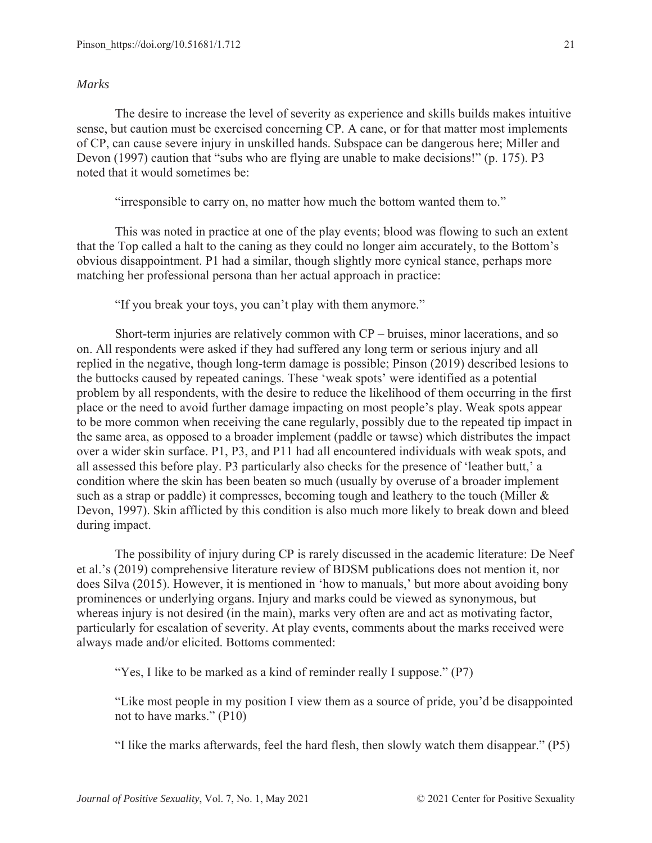#### *Marks*

The desire to increase the level of severity as experience and skills builds makes intuitive sense, but caution must be exercised concerning CP. A cane, or for that matter most implements of CP, can cause severe injury in unskilled hands. Subspace can be dangerous here; Miller and Devon (1997) caution that "subs who are flying are unable to make decisions!" (p. 175). P3 noted that it would sometimes be:

"irresponsible to carry on, no matter how much the bottom wanted them to."

This was noted in practice at one of the play events; blood was flowing to such an extent that the Top called a halt to the caning as they could no longer aim accurately, to the Bottom's obvious disappointment. P1 had a similar, though slightly more cynical stance, perhaps more matching her professional persona than her actual approach in practice:

"If you break your toys, you can't play with them anymore."

Short-term injuries are relatively common with CP – bruises, minor lacerations, and so on. All respondents were asked if they had suffered any long term or serious injury and all replied in the negative, though long-term damage is possible; Pinson (2019) described lesions to the buttocks caused by repeated canings. These 'weak spots' were identified as a potential problem by all respondents, with the desire to reduce the likelihood of them occurring in the first place or the need to avoid further damage impacting on most people's play. Weak spots appear to be more common when receiving the cane regularly, possibly due to the repeated tip impact in the same area, as opposed to a broader implement (paddle or tawse) which distributes the impact over a wider skin surface. P1, P3, and P11 had all encountered individuals with weak spots, and all assessed this before play. P3 particularly also checks for the presence of 'leather butt,' a condition where the skin has been beaten so much (usually by overuse of a broader implement such as a strap or paddle) it compresses, becoming tough and leathery to the touch (Miller & Devon, 1997). Skin afflicted by this condition is also much more likely to break down and bleed during impact.

The possibility of injury during CP is rarely discussed in the academic literature: De Neef et al.'s (2019) comprehensive literature review of BDSM publications does not mention it, nor does Silva (2015). However, it is mentioned in 'how to manuals,' but more about avoiding bony prominences or underlying organs. Injury and marks could be viewed as synonymous, but whereas injury is not desired (in the main), marks very often are and act as motivating factor, particularly for escalation of severity. At play events, comments about the marks received were always made and/or elicited. Bottoms commented:

"Yes, I like to be marked as a kind of reminder really I suppose." (P7)

"Like most people in my position I view them as a source of pride, you'd be disappointed not to have marks." (P10)

"I like the marks afterwards, feel the hard flesh, then slowly watch them disappear." (P5)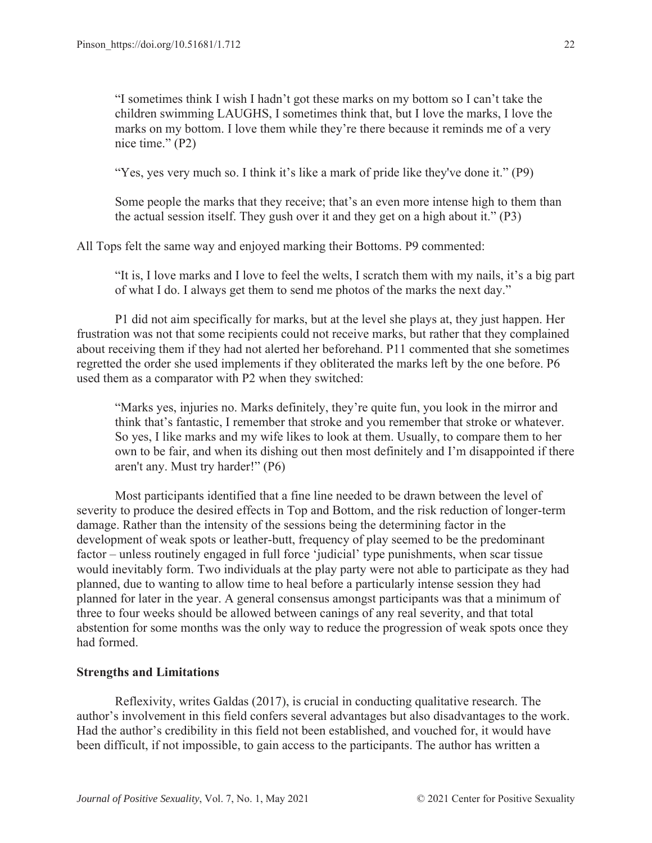"I sometimes think I wish I hadn't got these marks on my bottom so I can't take the children swimming LAUGHS, I sometimes think that, but I love the marks, I love the marks on my bottom. I love them while they're there because it reminds me of a very nice time." (P2)

"Yes, yes very much so. I think it's like a mark of pride like they've done it." (P9)

Some people the marks that they receive; that's an even more intense high to them than the actual session itself. They gush over it and they get on a high about it." (P3)

All Tops felt the same way and enjoyed marking their Bottoms. P9 commented:

"It is, I love marks and I love to feel the welts, I scratch them with my nails, it's a big part of what I do. I always get them to send me photos of the marks the next day."

P1 did not aim specifically for marks, but at the level she plays at, they just happen. Her frustration was not that some recipients could not receive marks, but rather that they complained about receiving them if they had not alerted her beforehand. P11 commented that she sometimes regretted the order she used implements if they obliterated the marks left by the one before. P6 used them as a comparator with P2 when they switched:

"Marks yes, injuries no. Marks definitely, they're quite fun, you look in the mirror and think that's fantastic, I remember that stroke and you remember that stroke or whatever. So yes, I like marks and my wife likes to look at them. Usually, to compare them to her own to be fair, and when its dishing out then most definitely and I'm disappointed if there aren't any. Must try harder!" (P6)

Most participants identified that a fine line needed to be drawn between the level of severity to produce the desired effects in Top and Bottom, and the risk reduction of longer-term damage. Rather than the intensity of the sessions being the determining factor in the development of weak spots or leather-butt, frequency of play seemed to be the predominant factor – unless routinely engaged in full force 'judicial' type punishments, when scar tissue would inevitably form. Two individuals at the play party were not able to participate as they had planned, due to wanting to allow time to heal before a particularly intense session they had planned for later in the year. A general consensus amongst participants was that a minimum of three to four weeks should be allowed between canings of any real severity, and that total abstention for some months was the only way to reduce the progression of weak spots once they had formed.

### **Strengths and Limitations**

Reflexivity, writes Galdas (2017), is crucial in conducting qualitative research. The author's involvement in this field confers several advantages but also disadvantages to the work. Had the author's credibility in this field not been established, and vouched for, it would have been difficult, if not impossible, to gain access to the participants. The author has written a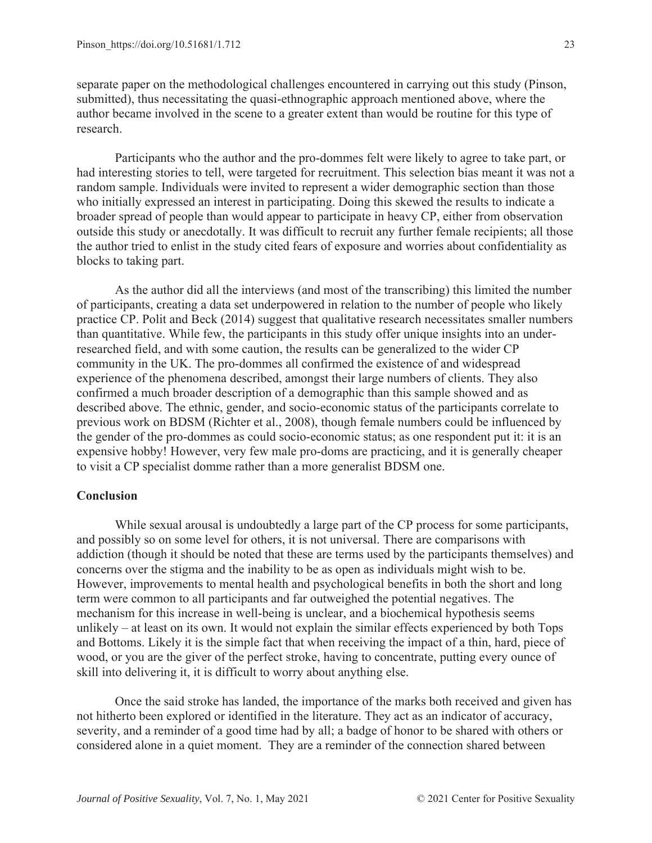separate paper on the methodological challenges encountered in carrying out this study (Pinson, submitted), thus necessitating the quasi-ethnographic approach mentioned above, where the author became involved in the scene to a greater extent than would be routine for this type of research.

Participants who the author and the pro-dommes felt were likely to agree to take part, or had interesting stories to tell, were targeted for recruitment. This selection bias meant it was not a random sample. Individuals were invited to represent a wider demographic section than those who initially expressed an interest in participating. Doing this skewed the results to indicate a broader spread of people than would appear to participate in heavy CP, either from observation outside this study or anecdotally. It was difficult to recruit any further female recipients; all those the author tried to enlist in the study cited fears of exposure and worries about confidentiality as blocks to taking part.

As the author did all the interviews (and most of the transcribing) this limited the number of participants, creating a data set underpowered in relation to the number of people who likely practice CP. Polit and Beck (2014) suggest that qualitative research necessitates smaller numbers than quantitative. While few, the participants in this study offer unique insights into an underresearched field, and with some caution, the results can be generalized to the wider CP community in the UK. The pro-dommes all confirmed the existence of and widespread experience of the phenomena described, amongst their large numbers of clients. They also confirmed a much broader description of a demographic than this sample showed and as described above. The ethnic, gender, and socio-economic status of the participants correlate to previous work on BDSM (Richter et al., 2008), though female numbers could be influenced by the gender of the pro-dommes as could socio-economic status; as one respondent put it: it is an expensive hobby! However, very few male pro-doms are practicing, and it is generally cheaper to visit a CP specialist domme rather than a more generalist BDSM one.

### **Conclusion**

While sexual arousal is undoubtedly a large part of the CP process for some participants, and possibly so on some level for others, it is not universal. There are comparisons with addiction (though it should be noted that these are terms used by the participants themselves) and concerns over the stigma and the inability to be as open as individuals might wish to be. However, improvements to mental health and psychological benefits in both the short and long term were common to all participants and far outweighed the potential negatives. The mechanism for this increase in well-being is unclear, and a biochemical hypothesis seems unlikely – at least on its own. It would not explain the similar effects experienced by both Tops and Bottoms. Likely it is the simple fact that when receiving the impact of a thin, hard, piece of wood, or you are the giver of the perfect stroke, having to concentrate, putting every ounce of skill into delivering it, it is difficult to worry about anything else.

Once the said stroke has landed, the importance of the marks both received and given has not hitherto been explored or identified in the literature. They act as an indicator of accuracy, severity, and a reminder of a good time had by all; a badge of honor to be shared with others or considered alone in a quiet moment. They are a reminder of the connection shared between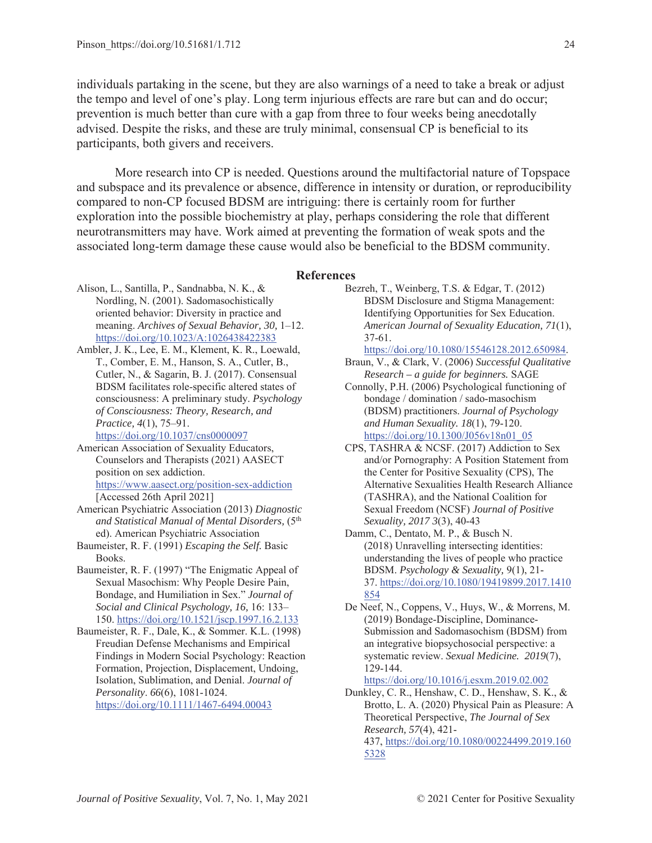individuals partaking in the scene, but they are also warnings of a need to take a break or adjust the tempo and level of one's play. Long term injurious effects are rare but can and do occur; prevention is much better than cure with a gap from three to four weeks being anecdotally advised. Despite the risks, and these are truly minimal, consensual CP is beneficial to its participants, both givers and receivers.

More research into CP is needed. Questions around the multifactorial nature of Topspace and subspace and its prevalence or absence, difference in intensity or duration, or reproducibility compared to non-CP focused BDSM are intriguing: there is certainly room for further exploration into the possible biochemistry at play, perhaps considering the role that different neurotransmitters may have. Work aimed at preventing the formation of weak spots and the associated long-term damage these cause would also be beneficial to the BDSM community.

#### **References**

- Alison, L., Santilla, P., Sandnabba, N. K., & Nordling, N. (2001). Sadomasochistically oriented behavior: Diversity in practice and meaning. *Archives of Sexual Behavior, 30,* 1–12. https://doi.org/10.1023/A:1026438422383
- Ambler, J. K., Lee, E. M., Klement, K. R., Loewald, T., Comber, E. M., Hanson, S. A., Cutler, B., Cutler, N., & Sagarin, B. J. (2017). Consensual BDSM facilitates role-specific altered states of consciousness: A preliminary study. *Psychology of Consciousness: Theory, Research, and Practice, 4*(1), 75–91. https://doi.org/10.1037/cns0000097
- American Association of Sexuality Educators, Counselors and Therapists (2021) AASECT position on sex addiction. https://www.aasect.org/position-sex-addiction [Accessed 26th April 2021]
- American Psychiatric Association (2013) *Diagnostic and Statistical Manual of Mental Disorders,* (5th ed). American Psychiatric Association
- Baumeister, R. F. (1991) *Escaping the Self.* Basic Books.
- Baumeister, R. F. (1997) "The Enigmatic Appeal of Sexual Masochism: Why People Desire Pain, Bondage, and Humiliation in Sex." *Journal of Social and Clinical Psychology, 16,* 16: 133– 150. https://doi.org/10.1521/jscp.1997.16.2.133
- Baumeister, R. F., Dale, K., & Sommer. K.L. (1998) Freudian Defense Mechanisms and Empirical Findings in Modern Social Psychology: Reaction Formation, Projection, Displacement, Undoing, Isolation, Sublimation, and Denial. *Journal of Personality*. *66*(6), 1081-1024. https://doi.org/10.1111/1467-6494.00043
- Bezreh, T., Weinberg, T.S. & Edgar, T. (2012) BDSM Disclosure and Stigma Management: Identifying Opportunities for Sex Education. *American Journal of Sexuality Education, 71*(1), 37-61.
- https://doi.org/10.1080/15546128.2012.650984.
- Braun, V., & Clark, V. (2006) *Successful Qualitative Research – a guide for beginners.* SAGE
- Connolly, P.H. (2006) Psychological functioning of bondage / domination / sado-masochism (BDSM) practitioners. *Journal of Psychology and Human Sexuality. 18*(1), 79-120. https://doi.org/10.1300/J056v18n01\_05
- CPS, TASHRA & NCSF. (2017) Addiction to Sex and/or Pornography: A Position Statement from the Center for Positive Sexuality (CPS), The Alternative Sexualities Health Research Alliance (TASHRA), and the National Coalition for Sexual Freedom (NCSF) *Journal of Positive Sexuality, 2017 3*(3), 40-43
- Damm, C., Dentato, M. P., & Busch N. (2018) Unravelling intersecting identities: understanding the lives of people who practice BDSM. *Psychology & Sexuality,* 9(1), 21- 37. https://doi.org/10.1080/19419899.2017.1410 854
- De Neef, N., Coppens, V., Huys, W., & Morrens, M. (2019) Bondage-Discipline, Dominance-Submission and Sadomasochism (BDSM) from an integrative biopsychosocial perspective: a systematic review. *Sexual Medicine. 2019*(7), 129-144.

https://doi.org/10.1016/j.esxm.2019.02.002

Dunkley, C. R., Henshaw, C. D., Henshaw, S. K., & Brotto, L. A. (2020) Physical Pain as Pleasure: A Theoretical Perspective, *The Journal of Sex Research, 57*(4), 421- 437, https://doi.org/10.1080/00224499.2019.160 5328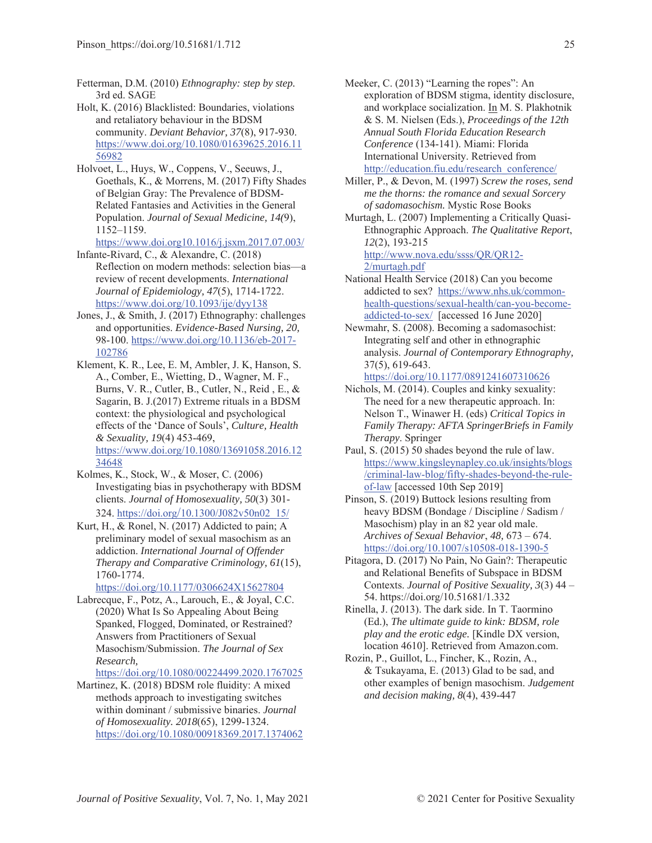Fetterman, D.M. (2010) *Ethnography: step by step.*  3rd ed. SAGE

- Holt, K. (2016) Blacklisted: Boundaries, violations and retaliatory behaviour in the BDSM community. *Deviant Behavior, 37*(8), 917-930. https://www.doi.org/10.1080/01639625.2016.11 56982
- Holvoet, L., Huys, W., Coppens, V., Seeuws, J., Goethals, K., & Morrens, M. (2017) Fifty Shades of Belgian Gray: The Prevalence of BDSM-Related Fantasies and Activities in the General Population. *Journal of Sexual Medicine, 14(*9), 1152–1159.

https://www.doi.org10.1016/j.jsxm.2017.07.003/

Infante-Rivard, C., & Alexandre, C. (2018) Reflection on modern methods: selection bias—a review of recent developments. *International Journal of Epidemiology, 47*(5), 1714-1722. https://www.doi.org/10.1093/ije/dyy138

- Jones, J., & Smith, J. (2017) Ethnography: challenges and opportunities. *Evidence-Based Nursing, 20,*  98-100. https://www.doi.org/10.1136/eb-2017- 102786
- Klement, K. R., Lee, E. M, Ambler, J. K, Hanson, S. A., Comber, E., Wietting, D., Wagner, M. F., Burns, V. R., Cutler, B., Cutler, N., Reid , E., & Sagarin, B. J.(2017) Extreme rituals in a BDSM context: the physiological and psychological effects of the 'Dance of Souls', *Culture, Health & Sexuality, 19*(4) 453-469, https://www.doi.org/10.1080/13691058.2016.12 34648
- Kolmes, K., Stock, W., & Moser, C. (2006) Investigating bias in psychotherapy with BDSM clients. *Journal of Homosexuality, 50*(3) 301- 324. https://doi.org/10.1300/J082v50n02\_15/
- Kurt, H., & Ronel, N. (2017) Addicted to pain; A preliminary model of sexual masochism as an addiction. *International Journal of Offender Therapy and Comparative Criminology, 61*(15), 1760-1774.

https://doi.org/10.1177/0306624X15627804

Labrecque, F., Potz, A., Larouch, E., & Joyal, C.C. (2020) What Is So Appealing About Being Spanked, Flogged, Dominated, or Restrained? Answers from Practitioners of Sexual Masochism/Submission. *The Journal of Sex Research,*

https://doi.org/10.1080/00224499.2020.1767025

Martinez, K. (2018) BDSM role fluidity: A mixed methods approach to investigating switches within dominant / submissive binaries. *Journal of Homosexuality. 2018*(65), 1299-1324. https://doi.org/10.1080/00918369.2017.1374062

- Meeker, C. (2013) "Learning the ropes": An exploration of BDSM stigma, identity disclosure, and workplace socialization. In M. S. Plakhotnik & S. M. Nielsen (Eds.), *Proceedings of the 12th Annual South Florida Education Research Conference* (134-141). Miami: Florida International University. Retrieved from http://education.fiu.edu/research\_conference/
- Miller, P., & Devon, M. (1997) *Screw the roses, send me the thorns: the romance and sexual Sorcery of sadomasochism.* Mystic Rose Books

Murtagh, L. (2007) Implementing a Critically Quasi-Ethnographic Approach. *The Qualitative Report*, *12*(2), 193-215 http://www.nova.edu/ssss/QR/QR12-

2/murtagh.pdf

- National Health Service (2018) Can you become addicted to sex? https://www.nhs.uk/commonhealth-questions/sexual-health/can-you-becomeaddicted-to-sex/ [accessed 16 June 2020]
- Newmahr, S. (2008). Becoming a sadomasochist: Integrating self and other in ethnographic analysis. *Journal of Contemporary Ethnography,* 37(5), 619-643.

https://doi.org/10.1177/0891241607310626

- Nichols, M. (2014). Couples and kinky sexuality: The need for a new therapeutic approach. In: Nelson T., Winawer H. (eds) *Critical Topics in Family Therapy: AFTA SpringerBriefs in Family Therapy*. Springer
- Paul, S. (2015) 50 shades beyond the rule of law. https://www.kingsleynapley.co.uk/insights/blogs /criminal-law-blog/fifty-shades-beyond-the-ruleof-law [accessed 10th Sep 2019]
- Pinson, S. (2019) Buttock lesions resulting from heavy BDSM (Bondage / Discipline / Sadism / Masochism) play in an 82 year old male. *Archives of Sexual Behavior*, *48,* 673 – 674. https://doi.org/10.1007/s10508-018-1390-5
- Pitagora, D. (2017) No Pain, No Gain?: Therapeutic and Relational Benefits of Subspace in BDSM Contexts. *Journal of Positive Sexuality, 3*(3) 44 – 54. https://doi.org/10.51681/1.332
- Rinella, J. (2013). The dark side. In T. Taormino (Ed.), *The ultimate guide to kink: BDSM, role play and the erotic edge.* [Kindle DX version, location 4610]. Retrieved from Amazon.com.
- Rozin, P., Guillot, L., Fincher, K., Rozin, A., & Tsukayama, E. (2013) Glad to be sad, and other examples of benign masochism. *Judgement and decision making, 8*(4), 439-447